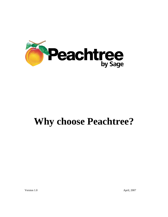

# **Why choose Peachtree?**

Version 1.0 April, 2007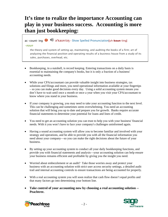## **It's time to realize the importance Accounting can play in your business success. Accounting is more than just bookkeeping:**

### ac·count·ing əˈkaʊntɪŋ - Show Spelled Pronunciation[*uh*-**koun**-ting]

#### –noun

the theory and system of setting up, maintaining, and auditing the books of a firm; art of analyzing the financial position and operating results of a business house from a study of its sales, purchases, overhead, etc.

- Bookkeeping, in a nutshell, is record keeping. Entering transactions on a daily basis is essential to maintaining the company's books, but it is only a fraction of a business' accounting needs.
- While your CPA/accountant can provide valuable insight into business strategies, tax solutions and filings and more, you need operational information available at your fingertips – so you can make good decisions every day. Using a solid accounting system means you don't have to wait until once a month or once a year when you visit your CPA/accountant to know where you stand in your business.
- If your company is growing, you may need to take your accounting function to the next level. This can be challenging and sometimes seem overwhelming. You need an accounting solution that will bring you up to date and prepare you for growth. Banks require accurate financial statements to determine your potential for loans and lines of credit.
- You need to get an accounting solution you can trust to help you with your business' financial needs. With it you won't have to face your company's challenges uninformed again.
- Having a sound accounting system will allow you to become familiar and involved with your strategy and operations, and be able to provide you with all the financial information you need about your company—so you can make the right decisions about the future of your business.
- By setting up your accounting system to conduct all your daily bookkeeping functions, and provide you with financial statements and analysis—your accounting solution can help ensure your business remains efficient and profitable by giving you the insight you need.
- Worried about embezzlement or an audit? Take those worries away and protect your business with an accounting solution with strict user access security settings, a detailed audit trail and internal accounting controls to ensure transactions are being accounted for properly.
- With a real accounting system you will soon realize that cash flow doesn't equal profits and that many factors go into determining your bottom line.
- **Take control of your accounting now by choosing a real accounting solution -- Peachtree.**



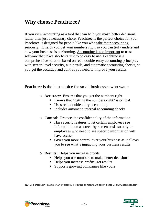# **Why choose Peachtree?**

If you view accounting as a tool that can help you make better decisions rather than just a necessary chore, Peachtree is the perfect choice for you. Peachtree is designed for people like you who take their accounting seriously. It helps you get your numbers right so you can truly understand how your business is performing. Accounting is too important to trust software that takes shortcuts just to be easy to use. Peachtree is a comprehensive solution based on real, double-entry accounting principles with screen-level security, audit trails, and automatic accounting checks, so you get the accuracy and control you need to improve your results.

Peachtree is the best choice for small businesses who want:

- o **Accuracy**: Ensures that you get the numbers right
	- Knows that "getting the numbers right" is critical
	- Uses real, double entry accounting
	- Includes automatic internal accounting checks
- o **Control**: Protects the confidentiality of the information
	- Has security features to let certain employees see information, on a screen-by-screen basis so only the employees who need to see specific information will have access
	- Gives you more control over your business as it allows you to see what's impacting your business results
- o **Results**: Helps you increase profits
	- Helps you use numbers to make better decisions
	- Helps you increase profits, get results
	- **Supports growing companies like yours**

[NOTE: Functions in Peachtree vary by product. For details on feature availability, please visit [www.peachtree.com](http://www.peachtree.com/) ]

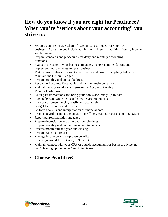## **How do you know if you are right for Peachtree? When you're "serious about your accounting" you strive to:**

- Set up a comprehensive Chart of Accounts, customized for your own business. Account types include at minimum: Assets, Liabilities, Equity, Income and Expenses
- Prepare standards and procedures for daily and monthly accounting functions
- Evaluate the state of your business finances, make recommendations and implement improvements for your business
- Make journal entries to correct inaccuracies and ensure everything balances
- Maintain the General Ledger
- Prepare monthly and annual budgets
- Reconcile Accounts Receivable and handle timely collections
- Maintain vendor relations and streamline Accounts Payable
- Monitor Cash Flow
- Audit past transactions and bring your books accurately up-to-date
- Reconcile Bank Statements and Credit Card Statements
- Invoice customers quickly, easily and accurately
- Budget for revenues and expenses
- Perform analysis and interpretation of financial data
- Process payroll or integrate outside payroll services into your accounting system
- Report payroll liabilities and taxes
- Prepare depreciation and amortization schedules
- Prepare monthly and annual Financial Statements
- Process month-end and year-end closing
- Prepare Sales Tax returns
- Manage insurance and employee benefits
- Process year-end forms (W-2, 1099, etc.)
- Maintain contact with your CPA or outside accountant for business advice, not just "cleaning up the books" and filing taxes.
- **Choose Peachtree!**

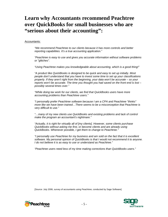### **Learn why Accountants recommend Peachtree over QuickBooks for small businesses who are "serious about their accounting":**

#### Accountants:

*"We recommend Peachtree to our clients because it has more controls and better reporting capabilities. It's a true accounting application."*

*"Peachtree is easy to use and gives you accurate information without software problems or "glitches".* 

*"Using Peachtree makes you knowledgeable about accounting, which is a good thing!"*

*"A product like QuickBooks is designed to be quick and easy to set up initially. Most people don't understand that you have to invest some time to set up your classifications properly. If they aren't right from the beginning, your data won't be accurate – so your reports won't be accurate. The time you thought you had saved on the front end is lost – possibly several times over."* 

*"While doing tax work for our clients, we find that QuickBooks users have more accounting problems than Peachtree users."*

*"I personally prefer Peachtree software because I am a CPA and Peachtree "thinks" more like we have been trained…There seems to be a misconception that Peachtree is very difficult to use."*

*"…many of my new clients use QuickBooks and existing problems and lack of control make the program an accountant's nightmare."*

*"Actually, it is right for virtually all of [my clients]. However, some clients purchase QuickBooks without asking me first, or become clients and are already using QuickBooks. Whenever possible, I get them to change to Peachtree."*

*"I personally use Peachtree for my business and am sold on the fact that it is excellent software. My personal opinion of QuickBooks is that I would not recommend it to anyone. I do not believe it is as easy to use or understand as Peachtree."*

*"Peachtree users need less of my time making corrections than QuickBooks users."*

[Source: July 2006, survey of accountants using Peachtree, conducted by Sage Software]



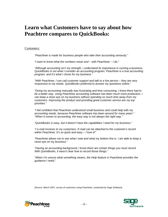### **Learn what Customers have to say about how Peachtree compares to QuickBooks:**

#### Customers:

*"Peachtree is made for business people who take their accounting seriously."*

*"I want to know what the numbers mean and – with Peachtree – I do."*

*"Although accounting isn't my strength, I understand its importance in running a business. QuickBooks is not what I consider an accounting program. Peachtree is a true accounting program, and it's what I chose for my business."*

*"With Peachtree, I can call customer support and talk to a live person – they are very responsive to my needs. QuickBooks preferred to answer my questions online."* 

*"Doing my accounting manually was frustrating and time consuming. I knew there had to be a better way. Using Peachtree accounting software has been much more productive. I can keep a close eye on my business without spending so much time away from my customers. Improving the product and providing great customer service are my top priorities."* 

*"I felt confident that Peachtree understood small business and could help with my accounting needs, because Peachtree software has been around for many years." "When it comes to accounting, the easy way is not always the right way."*

*"QuickBooks is easy, but it doesn't have the capabilities I need for my business."*

*"I e-mail invoices to my customers. E-mail can be attached to the customer's record within Peachtree. It's so quick and easy – I love it!"*

*"Peachtree allows me to see what I owe and what my bottom line is. I am able to keep a close eye on my business."*

*"Having an accounting background, I know there are certain things you must record. With QuickBooks, it wasn't clear how to record those things."*

*"When I'm unsure what something means, the Help feature in Peachtree provides the guidance I need."*

[Source: March 2007, survey of customers using Peachtree, conducted by Sage Software]



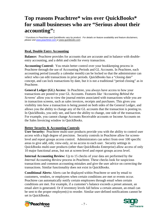## **Top reasons Peachtree\* wins over QuickBooks\* for small businesses who are "Serious about their accounting":**

*\* Functions in Peachtree and QuickBooks vary by product. For details on feature availability and feature disclaimers, please visit [www.peachtree.com](http://www.peachtree.com/) or [www.quickbooks.com](http://www.quickbooks.com/) .* 

### **Real, Double Entry Accounting**

**Balance:** Peachtree provides for accounts that are accurate and in balance with doubleentry accounting, and a debit and credit for every transaction.

**Accounting Control:** You retain better control over your bookkeeping process in Peachtree through the use of Accounting Periods and GL Accounts. In Peachtree, each accounting period (usually a calendar month) can be locked so that the administrator can select who can edit transactions in prior periods. QuickBooks has a "closing date" concept, and can lock transactions by date, but it is not a traditional "period closing" as in Peachtree.

**General Ledger (GL) Access:** In Peachtree, you always have access to how your transactions are posted to your GL Accounts. Features like '*Accounting Behind the Screens*' allow you to view the journal entries associated with transactions while you are in transaction screens, such as sales invoices, receipts and purchases. This gives you visibility into how a transaction is being posted on both sides of the General Ledger, and allows you the ability to change any of the GL accounts that the transaction is posting to. In QuickBooks, you only see, and have the ability to change, one side of the transaction. For example, you cannot change Accounts Receivable accounts or Income Accounts on the Sales Invoicing window in QuickBooks.

#### **Better Security & Accounting Controls**

**User Security:** Peachtree multi-user products provide you with the ability to control user access with a high degree of precision. Security controls in Peachtree allow for screenlevel and report groups access control. Administrators can select from over 100 specific areas to give add, edit, view-only, or no access to each user. Security settings in QuickBooks multi-user products (other than QuickBooks Enterprise) allow access of only 10 major functional areas, but not at screen-level and report groups access level.

**Internal Accounting Review:** Up to 15 checks of your data are performed by the *Internal Accounting Review* process in Peachtree. These checks look for suspicious transactions and common accounting mistakes and give the user advice on correcting the transactions. Similar functionality does not exist in QuickBooks.

**Conditional Alerts:** Alerts can be displayed within Peachtree or sent by email to customers, vendors, or employees when certain conditions are met or events occur. Peachtree can automatically notify certain employees through email when certain conditions are met. For example, if a customer's balance exceeds a preset amount, an email alert is generated. Or if inventory levels fall below a certain amount, an email can be sent to the proper employee(s) to reorder. Similar user-defined notifications cannot be set in QuickBooks.



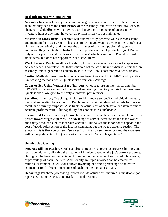### **In-depth Inventory Management**

**Assembly Revision History:** Peachtree manages the revision history for the customer such that they can see the entire history of the assembly item, with an audit trail of who changed it. QuickBooks will allow you to change the components of an assembly inventory item at any time; however, a revision history is not maintained.

**Master/Sub-Stock items:** Peachtree will automatically generate your sub-stock items and maintain them as a group. This is useful when you want to create an item, such as a shirt or hat generically, and then use the attributes of that item (Color, Size, etc) to automatically generate the sub-stock items to produce a line of products. QuickBooks only allows you to use item classes as 'sub items' which is similar to Peachtree master stock items, but does not support true sub-stock items.

**Work Tickets:** Peachtree allows the ability to build an assembly as a work-in-process. As each piece is complete, that task is marked off the work ticket. When it is finished, an assembly item is generated as "ready to sell". QuickBooks does not have work tickets.

**Costing Methods:** Peachtree lets you choose from Average, LIFO, FIFO, and Specific-Unit costing methods, while QuickBooks offers only Average.

**Order or Sell Using Vendor Part Numbers:** Choose to use an internal part number, UPC/SKU code, or vendor part number when printing inventory reports from Peachtree. QuickBooks allows you to use only an internal part number.

**Serialized Inventory Tracking:** Assign serial numbers to specific individual inventory items when creating transactions in Peachtree, and maintain detailed records for tracking, recall, and warranty purposes. Also track the actual cost of each serialized item for more accurate profit measure. This capability does not exist in QuickBooks.

**Service and Labor Inventory Items:** In Peachtree you can have service and labor items geared toward wages expenses. The advantage to service items is that it has the wages and salary account as the cost of sales account. This causes the labor not to appear in the cost of goods sold section of the income statement, but the wages expense section. The effect of this is that you can sell "services" just like you sell inventory and the expenses will be properly stated. In QuickBooks, there is only "other charge items".

#### **Detailed Job Costing**

**Progress Billing:** Peachtree tracks a job's contract price, previous progress billings, and retainage withheld, allowing the creation of invoices based on the job's current progress. Billing can be based on percentage of completion, percentage of estimated job revenue, or percentage of each line item. Additionally, multiple invoices can be created for multiple customers. QuickBooks allows invoicing of a fixed percentage of an entire estimate or for different percentages of each line item on an estimate.

**Reporting:** Peachtree job costing reports include actual costs incurred. QuickBooks job reports use estimated costs and track to actual revenue.



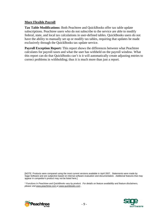#### **More Flexible Payroll**

**Tax Table Modifications:** Both Peachtree and QuickBooks offer tax table update subscriptions. Peachtree users who do not subscribe to the service are able to modify federal, state, and local tax calculations in user-defined tables. QuickBooks users do not have the ability to manually set up or modify tax tables, requiring that updates be made exclusively through the QuickBooks tax update service.

**Payroll Exception Report:** This report shows the differences between what Peachtree calculates for payroll taxes and what the user has withheld on the payroll window. What this report can do that QuickBooks can't is it will automatically create adjusting entries to correct problems in withholding; thus it is much more than just a report.

[NOTE: Products were compared using the most current versions available in April 2007. Statements were made by Sage Software and are subjective based on internal software evaluation and documentation. Additional features that may appear in competitor's product may not be listed here.]

*\* Functions in Peachtree and QuickBooks vary by product. For details on feature availability and feature disclaimers, please visit [www.peachtree.com](http://www.peachtree.com/) or [www.quickbooks.com](http://www.quickbooks.com/) .*